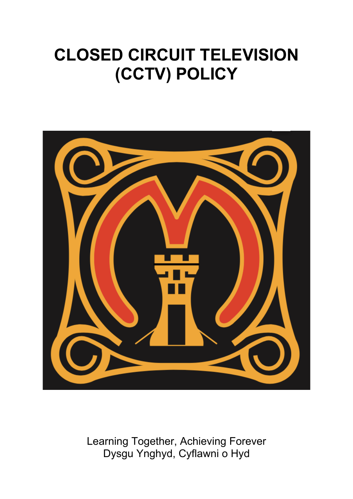# **CLOSED CIRCUIT TELEVISION (CCTV) POLICY**



Learning Together, Achieving Forever Dysgu Ynghyd, Cyflawni o Hyd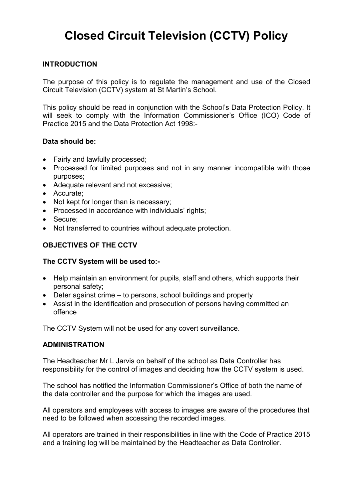# **Closed Circuit Television (CCTV) Policy**

#### **INTRODUCTION**

The purpose of this policy is to regulate the management and use of the Closed Circuit Television (CCTV) system at St Martin's School.

This policy should be read in conjunction with the School's Data Protection Policy. It will seek to comply with the Information Commissioner's Office (ICO) Code of Practice 2015 and the Data Protection Act 1998:-

#### **Data should be:**

- Fairly and lawfully processed;
- Processed for limited purposes and not in any manner incompatible with those purposes;
- Adequate relevant and not excessive;
- Accurate;
- Not kept for longer than is necessary;
- Processed in accordance with individuals' rights;
- Secure;
- Not transferred to countries without adequate protection.

#### **OBJECTIVES OF THE CCTV**

#### **The CCTV System will be used to:-**

- Help maintain an environment for pupils, staff and others, which supports their personal safety;
- Deter against crime to persons, school buildings and property
- Assist in the identification and prosecution of persons having committed an offence

The CCTV System will not be used for any covert surveillance.

#### **ADMINISTRATION**

The Headteacher Mr L Jarvis on behalf of the school as Data Controller has responsibility for the control of images and deciding how the CCTV system is used.

The school has notified the Information Commissioner's Office of both the name of the data controller and the purpose for which the images are used.

All operators and employees with access to images are aware of the procedures that need to be followed when accessing the recorded images.

All operators are trained in their responsibilities in line with the Code of Practice 2015 and a training log will be maintained by the Headteacher as Data Controller.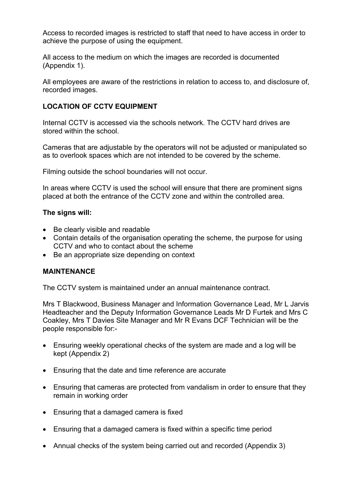Access to recorded images is restricted to staff that need to have access in order to achieve the purpose of using the equipment.

All access to the medium on which the images are recorded is documented (Appendix 1).

All employees are aware of the restrictions in relation to access to, and disclosure of, recorded images.

#### **LOCATION OF CCTV EQUIPMENT**

Internal CCTV is accessed via the schools network. The CCTV hard drives are stored within the school.

Cameras that are adjustable by the operators will not be adjusted or manipulated so as to overlook spaces which are not intended to be covered by the scheme.

Filming outside the school boundaries will not occur.

In areas where CCTV is used the school will ensure that there are prominent signs placed at both the entrance of the CCTV zone and within the controlled area.

#### **The signs will:**

- Be clearly visible and readable
- Contain details of the organisation operating the scheme, the purpose for using CCTV and who to contact about the scheme
- Be an appropriate size depending on context

#### **MAINTENANCE**

The CCTV system is maintained under an annual maintenance contract.

Mrs T Blackwood, Business Manager and Information Governance Lead, Mr L Jarvis Headteacher and the Deputy Information Governance Leads Mr D Furtek and Mrs C Coakley, Mrs T Davies Site Manager and Mr R Evans DCF Technician will be the people responsible for:-

- Ensuring weekly operational checks of the system are made and a log will be kept (Appendix 2)
- Ensuring that the date and time reference are accurate
- Ensuring that cameras are protected from vandalism in order to ensure that they remain in working order
- Ensuring that a damaged camera is fixed
- Ensuring that a damaged camera is fixed within a specific time period
- Annual checks of the system being carried out and recorded (Appendix 3)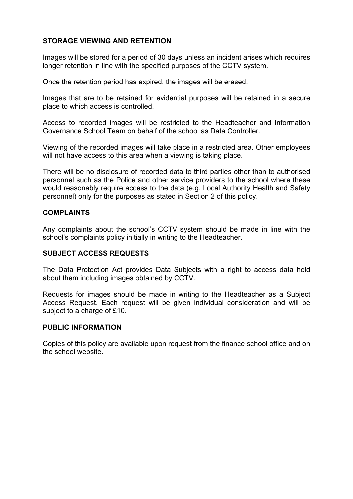#### **STORAGE VIEWING AND RETENTION**

Images will be stored for a period of 30 days unless an incident arises which requires longer retention in line with the specified purposes of the CCTV system.

Once the retention period has expired, the images will be erased.

Images that are to be retained for evidential purposes will be retained in a secure place to which access is controlled.

Access to recorded images will be restricted to the Headteacher and Information Governance School Team on behalf of the school as Data Controller.

Viewing of the recorded images will take place in a restricted area. Other employees will not have access to this area when a viewing is taking place.

There will be no disclosure of recorded data to third parties other than to authorised personnel such as the Police and other service providers to the school where these would reasonably require access to the data (e.g. Local Authority Health and Safety personnel) only for the purposes as stated in Section 2 of this policy.

#### **COMPLAINTS**

Any complaints about the school's CCTV system should be made in line with the school's complaints policy initially in writing to the Headteacher.

#### **SUBJECT ACCESS REQUESTS**

The Data Protection Act provides Data Subjects with a right to access data held about them including images obtained by CCTV.

Requests for images should be made in writing to the Headteacher as a Subject Access Request. Each request will be given individual consideration and will be subject to a charge of £10.

#### **PUBLIC INFORMATION**

Copies of this policy are available upon request from the finance school office and on the school website.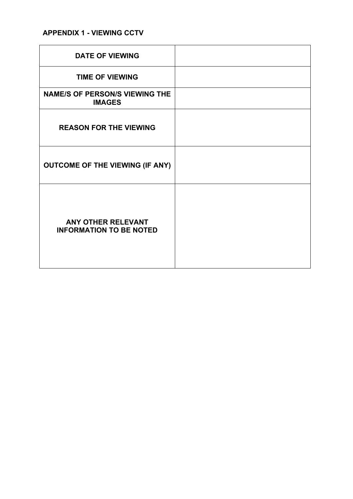## **APPENDIX 1 - VIEWING CCTV**

| <b>DATE OF VIEWING</b>                                      |  |
|-------------------------------------------------------------|--|
| <b>TIME OF VIEWING</b>                                      |  |
| <b>NAME/S OF PERSON/S VIEWING THE</b><br><b>IMAGES</b>      |  |
| <b>REASON FOR THE VIEWING</b>                               |  |
| <b>OUTCOME OF THE VIEWING (IF ANY)</b>                      |  |
| <b>ANY OTHER RELEVANT</b><br><b>INFORMATION TO BE NOTED</b> |  |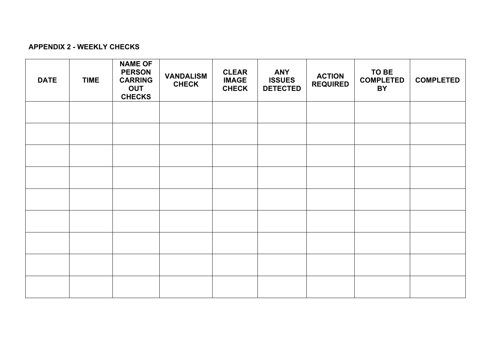### **APPENDIX 2 - WEEKLY CHECKS**

| <b>DATE</b> | <b>TIME</b> | <b>NAME OF</b><br><b>PERSON</b><br><b>CARRING</b><br><b>OUT</b><br><b>CHECKS</b> | <b>VANDALISM</b><br><b>CHECK</b> | <b>CLEAR</b><br><b>IMAGE</b><br><b>CHECK</b> | <b>ANY</b><br><b>ISSUES</b><br><b>DETECTED</b> | <b>ACTION</b><br><b>REQUIRED</b> | TO BE<br><b>COMPLETED</b><br><b>BY</b> | <b>COMPLETED</b> |
|-------------|-------------|----------------------------------------------------------------------------------|----------------------------------|----------------------------------------------|------------------------------------------------|----------------------------------|----------------------------------------|------------------|
|             |             |                                                                                  |                                  |                                              |                                                |                                  |                                        |                  |
|             |             |                                                                                  |                                  |                                              |                                                |                                  |                                        |                  |
|             |             |                                                                                  |                                  |                                              |                                                |                                  |                                        |                  |
|             |             |                                                                                  |                                  |                                              |                                                |                                  |                                        |                  |
|             |             |                                                                                  |                                  |                                              |                                                |                                  |                                        |                  |
|             |             |                                                                                  |                                  |                                              |                                                |                                  |                                        |                  |
|             |             |                                                                                  |                                  |                                              |                                                |                                  |                                        |                  |
|             |             |                                                                                  |                                  |                                              |                                                |                                  |                                        |                  |
|             |             |                                                                                  |                                  |                                              |                                                |                                  |                                        |                  |